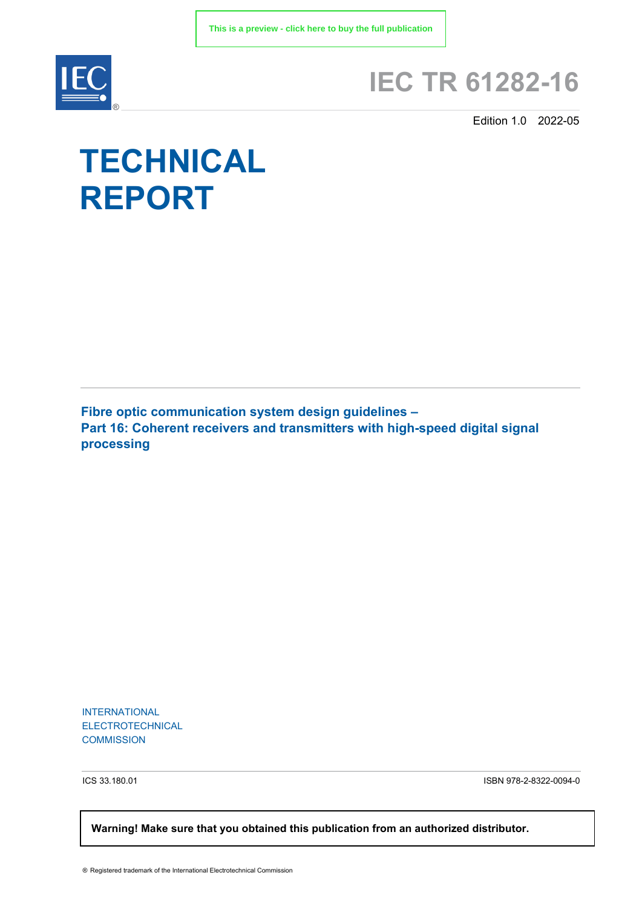

# **IEC TR 61282-16**

Edition 1.0 2022-05

# **TECHNICAL REPORT**

**Fibre optic communication system design guidelines – Part 16: Coherent receivers and transmitters with high-speed digital signal processing**

INTERNATIONAL ELECTROTECHNICAL **COMMISSION** 

ICS 33.180.01 ISBN 978-2-8322-0094-0

 **Warning! Make sure that you obtained this publication from an authorized distributor.**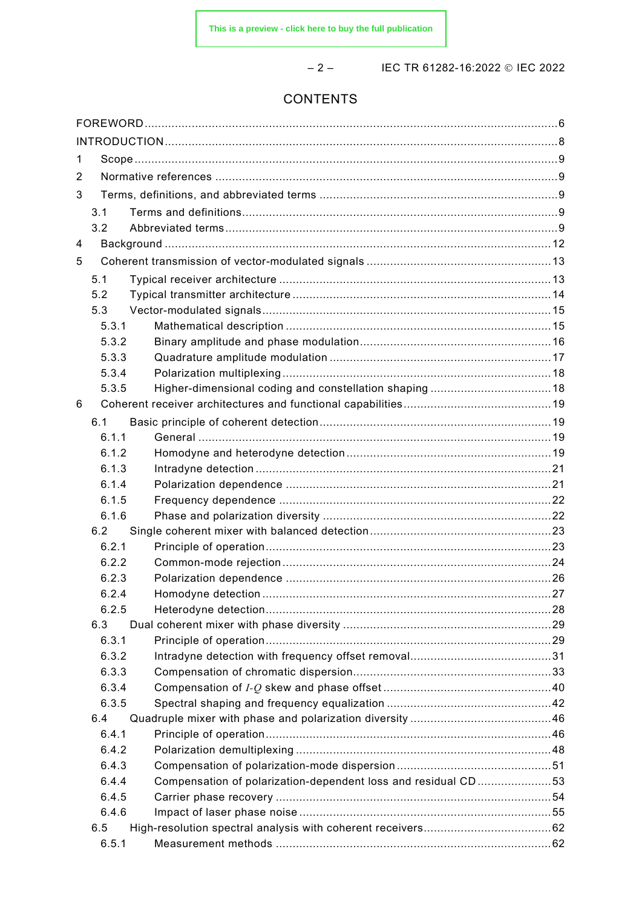## – 2 – IEC TR 61282-16:2022 IEC 2022

# CONTENTS

| 1 |       |                                                                |  |
|---|-------|----------------------------------------------------------------|--|
| 2 |       |                                                                |  |
| 3 |       |                                                                |  |
|   | 3.1   |                                                                |  |
|   | 3.2   |                                                                |  |
| 4 |       |                                                                |  |
| 5 |       |                                                                |  |
|   | 5.1   |                                                                |  |
|   | 5.2   |                                                                |  |
|   | 5.3   |                                                                |  |
|   | 5.3.1 |                                                                |  |
|   | 5.3.2 |                                                                |  |
|   | 5.3.3 |                                                                |  |
|   | 5.3.4 |                                                                |  |
|   | 5.3.5 |                                                                |  |
| 6 |       |                                                                |  |
|   | 6.1   |                                                                |  |
|   | 6.1.1 |                                                                |  |
|   | 6.1.2 |                                                                |  |
|   | 6.1.3 |                                                                |  |
|   | 6.1.4 |                                                                |  |
|   | 6.1.5 |                                                                |  |
|   | 6.1.6 |                                                                |  |
|   | 6.2   |                                                                |  |
|   | 6.2.1 |                                                                |  |
|   | 6.2.2 |                                                                |  |
|   | 6.2.3 |                                                                |  |
|   | 6.2.4 |                                                                |  |
|   | 6.2.5 |                                                                |  |
|   | 6.3   |                                                                |  |
|   | 6.3.1 |                                                                |  |
|   | 6.3.2 |                                                                |  |
|   | 6.3.3 |                                                                |  |
|   | 6.3.4 |                                                                |  |
|   | 6.3.5 |                                                                |  |
|   | 6.4   |                                                                |  |
|   | 6.4.1 |                                                                |  |
|   | 6.4.2 |                                                                |  |
|   | 6.4.3 |                                                                |  |
|   | 6.4.4 | Compensation of polarization-dependent loss and residual CD 53 |  |
|   | 6.4.5 |                                                                |  |
|   | 6.4.6 |                                                                |  |
|   | 6.5   |                                                                |  |
|   | 6.5.1 |                                                                |  |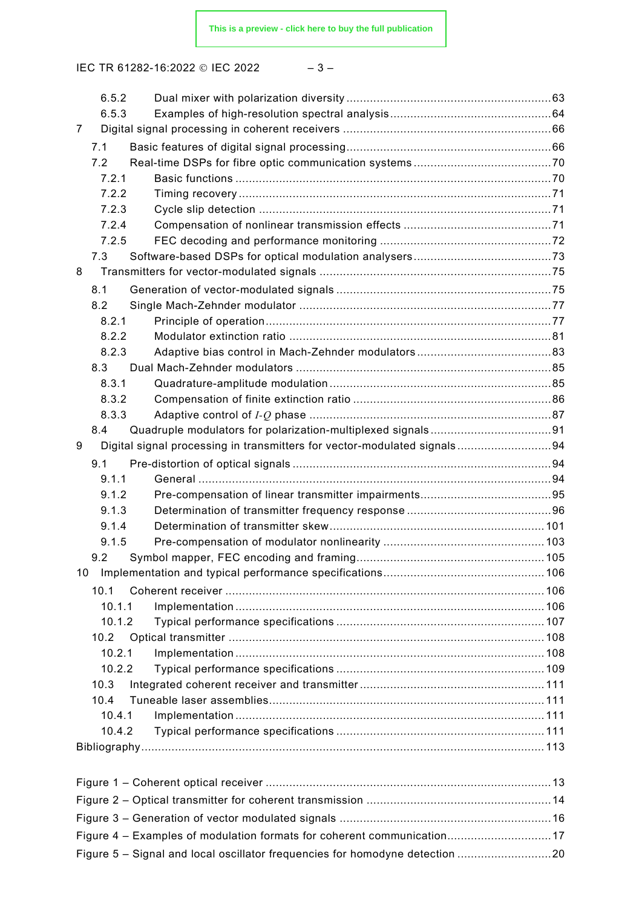IEC TR 61282-16:2022 © IEC 2022 -3-

|    | 6.5.2  |                                                                          |  |
|----|--------|--------------------------------------------------------------------------|--|
|    | 6.5.3  |                                                                          |  |
| 7  |        |                                                                          |  |
|    | 7.1    |                                                                          |  |
|    | 7.2    |                                                                          |  |
|    | 7.2.1  |                                                                          |  |
|    | 7.2.2  |                                                                          |  |
|    | 7.2.3  |                                                                          |  |
|    | 7.2.4  |                                                                          |  |
|    | 7.2.5  |                                                                          |  |
|    | 7.3    |                                                                          |  |
| 8  |        |                                                                          |  |
|    | 8.1    |                                                                          |  |
|    | 8.2    |                                                                          |  |
|    | 8.2.1  |                                                                          |  |
|    | 8.2.2  |                                                                          |  |
|    | 8.2.3  |                                                                          |  |
|    | 8.3    |                                                                          |  |
|    | 8.3.1  |                                                                          |  |
|    | 8.3.2  |                                                                          |  |
|    | 8.3.3  |                                                                          |  |
|    | 8.4    |                                                                          |  |
| 9  |        | Digital signal processing in transmitters for vector-modulated signals94 |  |
|    | 9.1    |                                                                          |  |
|    | 9.1.1  |                                                                          |  |
|    | 9.1.2  |                                                                          |  |
|    | 9.1.3  |                                                                          |  |
|    | 9.1.4  |                                                                          |  |
|    | 9.1.5  |                                                                          |  |
|    | 9.2    |                                                                          |  |
| 10 |        |                                                                          |  |
|    | 10.1   |                                                                          |  |
|    |        |                                                                          |  |
|    | 10.1.1 |                                                                          |  |
|    | 10.1.2 |                                                                          |  |
|    | 10.2   |                                                                          |  |
|    | 10.2.1 |                                                                          |  |
|    | 10.2.2 |                                                                          |  |
|    | 10.3   |                                                                          |  |
|    | 10.4   |                                                                          |  |
|    | 10.4.1 |                                                                          |  |
|    | 10.4.2 |                                                                          |  |
|    |        |                                                                          |  |
|    |        |                                                                          |  |
|    |        |                                                                          |  |

| Figure 4 – Examples of modulation formats for coherent communication17       |  |
|------------------------------------------------------------------------------|--|
| Figure 5 – Signal and local oscillator frequencies for homodyne detection 20 |  |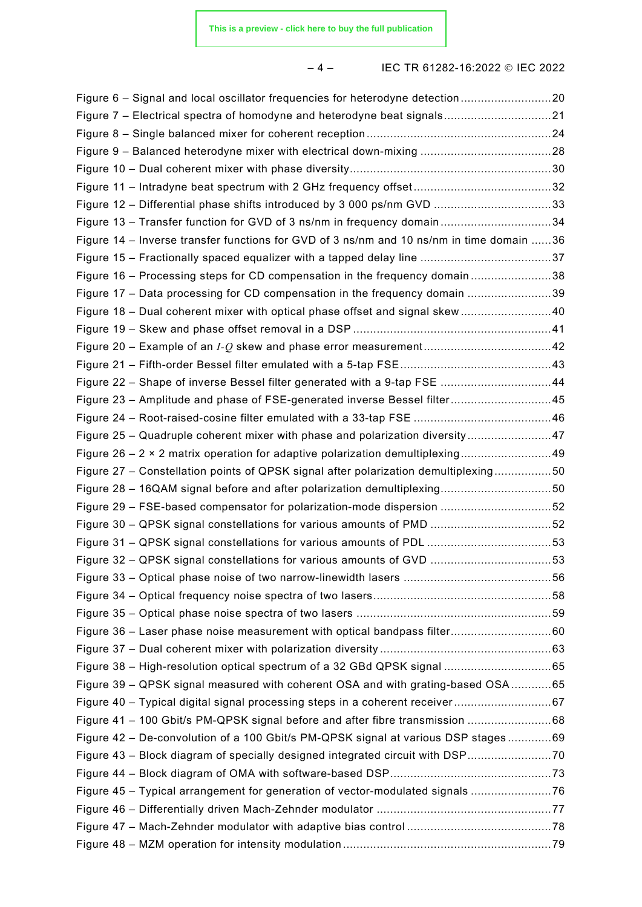### – 4 – IEC TR 61282-16:2022 IEC 2022

| Figure 6 - Signal and local oscillator frequencies for heterodyne detection20            |  |
|------------------------------------------------------------------------------------------|--|
| Figure 7 - Electrical spectra of homodyne and heterodyne beat signals21                  |  |
|                                                                                          |  |
|                                                                                          |  |
|                                                                                          |  |
|                                                                                          |  |
| Figure 12 - Differential phase shifts introduced by 3 000 ps/nm GVD 33                   |  |
| Figure 13 - Transfer function for GVD of 3 ns/nm in frequency domain34                   |  |
| Figure 14 – Inverse transfer functions for GVD of 3 ns/nm and 10 ns/nm in time domain 36 |  |
|                                                                                          |  |
| Figure 16 – Processing steps for CD compensation in the frequency domain38               |  |
| Figure 17 - Data processing for CD compensation in the frequency domain 39               |  |
| Figure 18 - Dual coherent mixer with optical phase offset and signal skew 40             |  |
|                                                                                          |  |
|                                                                                          |  |
|                                                                                          |  |
| Figure 22 - Shape of inverse Bessel filter generated with a 9-tap FSE 44                 |  |
| Figure 23 - Amplitude and phase of FSE-generated inverse Bessel filter45                 |  |
|                                                                                          |  |
| Figure 25 - Quadruple coherent mixer with phase and polarization diversity47             |  |
| Figure 26 – 2 × 2 matrix operation for adaptive polarization demultiplexing49            |  |
| Figure 27 - Constellation points of QPSK signal after polarization demultiplexing50      |  |
| Figure 28 - 16QAM signal before and after polarization demultiplexing50                  |  |
| Figure 29 - FSE-based compensator for polarization-mode dispersion 52                    |  |
| Figure 30 - QPSK signal constellations for various amounts of PMD 52                     |  |
|                                                                                          |  |
| Figure 32 - QPSK signal constellations for various amounts of GVD 53                     |  |
|                                                                                          |  |
|                                                                                          |  |
|                                                                                          |  |
| Figure 36 - Laser phase noise measurement with optical bandpass filter60                 |  |
|                                                                                          |  |
|                                                                                          |  |
| Figure 39 - QPSK signal measured with coherent OSA and with grating-based OSA 65         |  |
|                                                                                          |  |
| Figure 41 - 100 Gbit/s PM-QPSK signal before and after fibre transmission 68             |  |
| Figure 42 - De-convolution of a 100 Gbit/s PM-QPSK signal at various DSP stages69        |  |
| Figure 43 – Block diagram of specially designed integrated circuit with DSP70            |  |
|                                                                                          |  |
| Figure 45 - Typical arrangement for generation of vector-modulated signals 76            |  |
|                                                                                          |  |
|                                                                                          |  |
|                                                                                          |  |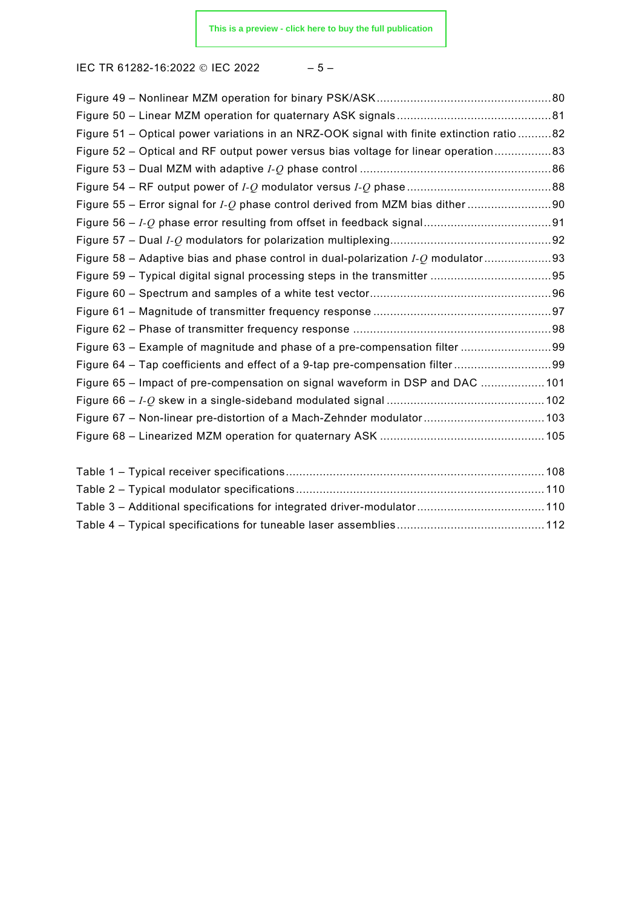IEC TR 61282-16:2022 © IEC 2022 - 5-

| Figure 51 - Optical power variations in an NRZ-OOK signal with finite extinction ratio82 |  |
|------------------------------------------------------------------------------------------|--|
| Figure 52 - Optical and RF output power versus bias voltage for linear operation83       |  |
|                                                                                          |  |
|                                                                                          |  |
| Figure 55 - Error signal for <i>I-Q</i> phase control derived from MZM bias dither 90    |  |
|                                                                                          |  |
|                                                                                          |  |
| Figure 58 - Adaptive bias and phase control in dual-polarization $I-Q$ modulator 93      |  |
|                                                                                          |  |
|                                                                                          |  |
|                                                                                          |  |
|                                                                                          |  |
| Figure 63 - Example of magnitude and phase of a pre-compensation filter 99               |  |
| Figure 64 - Tap coefficients and effect of a 9-tap pre-compensation filter 99            |  |
| Figure 65 - Impact of pre-compensation on signal waveform in DSP and DAC  101            |  |
|                                                                                          |  |
| Figure 67 - Non-linear pre-distortion of a Mach-Zehnder modulator 103                    |  |
|                                                                                          |  |
|                                                                                          |  |
|                                                                                          |  |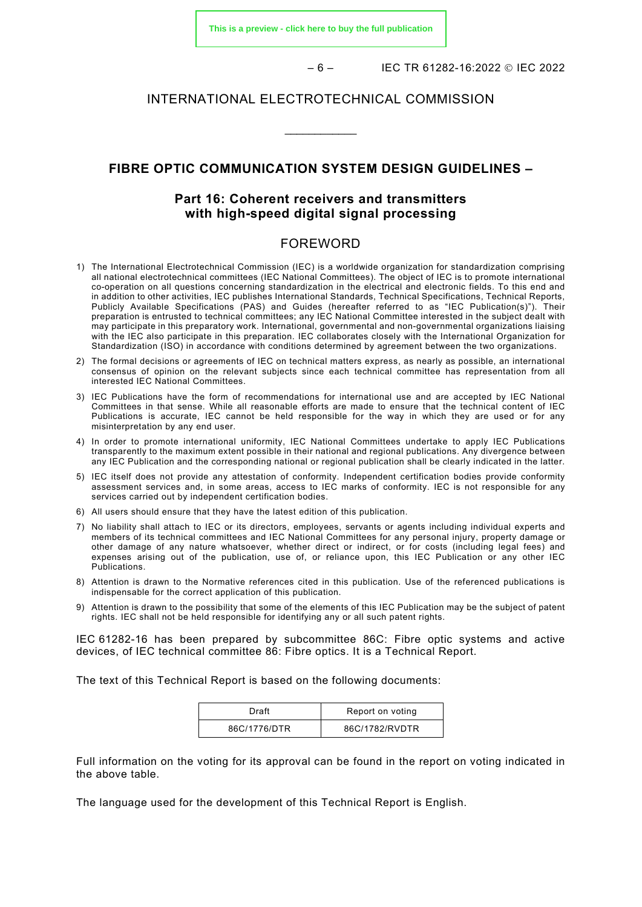**[This is a preview - click here to buy the full publication](https://webstore.iec.ch/publication/69788&preview)**

 $-6 -$  IEC TR 61282-16:2022 © IEC 2022

#### INTERNATIONAL ELECTROTECHNICAL COMMISSION

\_\_\_\_\_\_\_\_\_\_\_\_

#### **FIBRE OPTIC COMMUNICATION SYSTEM DESIGN GUIDELINES –**

#### **Part 16: Coherent receivers and transmitters with high-speed digital signal processing**

#### FOREWORD

- <span id="page-5-0"></span>1) The International Electrotechnical Commission (IEC) is a worldwide organization for standardization comprising all national electrotechnical committees (IEC National Committees). The object of IEC is to promote international co-operation on all questions concerning standardization in the electrical and electronic fields. To this end and in addition to other activities, IEC publishes International Standards, Technical Specifications, Technical Reports, Publicly Available Specifications (PAS) and Guides (hereafter referred to as "IEC Publication(s)"). Their preparation is entrusted to technical committees; any IEC National Committee interested in the subject dealt with may participate in this preparatory work. International, governmental and non-governmental organizations liaising with the IEC also participate in this preparation. IEC collaborates closely with the International Organization for Standardization (ISO) in accordance with conditions determined by agreement between the two organizations.
- 2) The formal decisions or agreements of IEC on technical matters express, as nearly as possible, an international consensus of opinion on the relevant subjects since each technical committee has representation from all interested IEC National Committees.
- 3) IEC Publications have the form of recommendations for international use and are accepted by IEC National Committees in that sense. While all reasonable efforts are made to ensure that the technical content of IEC Publications is accurate, IEC cannot be held responsible for the way in which they are used or for any misinterpretation by any end user.
- 4) In order to promote international uniformity, IEC National Committees undertake to apply IEC Publications transparently to the maximum extent possible in their national and regional publications. Any divergence between any IEC Publication and the corresponding national or regional publication shall be clearly indicated in the latter.
- 5) IEC itself does not provide any attestation of conformity. Independent certification bodies provide conformity assessment services and, in some areas, access to IEC marks of conformity. IEC is not responsible for any services carried out by independent certification bodies.
- 6) All users should ensure that they have the latest edition of this publication.
- 7) No liability shall attach to IEC or its directors, employees, servants or agents including individual experts and members of its technical committees and IEC National Committees for any personal injury, property damage or other damage of any nature whatsoever, whether direct or indirect, or for costs (including legal fees) and expenses arising out of the publication, use of, or reliance upon, this IEC Publication or any other IEC Publications.
- 8) Attention is drawn to the Normative references cited in this publication. Use of the referenced publications is indispensable for the correct application of this publication.
- 9) Attention is drawn to the possibility that some of the elements of this IEC Publication may be the subject of patent rights. IEC shall not be held responsible for identifying any or all such patent rights.

IEC 61282-16 has been prepared by subcommittee 86C: Fibre optic systems and active devices, of IEC technical committee 86: Fibre optics. It is a Technical Report.

The text of this Technical Report is based on the following documents:

| Draft        | Report on voting |
|--------------|------------------|
| 86C/1776/DTR | 86C/1782/RVDTR   |

Full information on the voting for its approval can be found in the report on voting indicated in the above table.

The language used for the development of this Technical Report is English.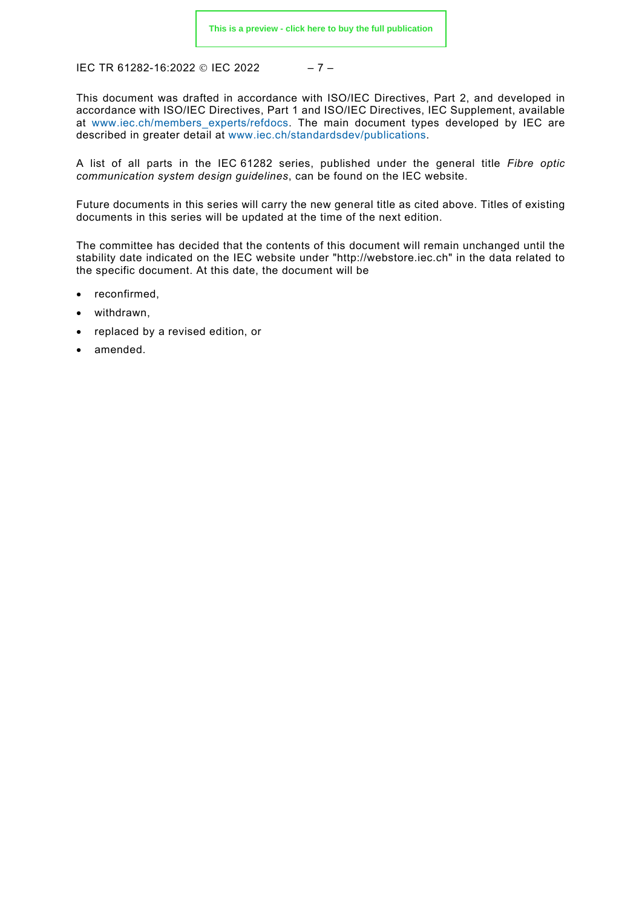IEC TR 61282-16:2022 © IEC 2022 - 7 -

This document was drafted in accordance with ISO/IEC Directives, Part 2, and developed in accordance with ISO/IEC Directives, Part 1 and ISO/IEC Directives, IEC Supplement, available at [www.iec.ch/members\\_experts/refdocs.](http://www.iec.ch/members_experts/refdocs) The main document types developed by IEC are described in greater detail at [www.iec.ch/standardsdev/publications.](http://www.iec.ch/standardsdev/publications)

A list of all parts in the IEC 61282 series, published under the general title *Fibre optic communication system design guidelines*, can be found on the IEC website.

Future documents in this series will carry the new general title as cited above. Titles of existing documents in this series will be updated at the time of the next edition.

The committee has decided that the contents of this document will remain unchanged until the stability date indicated on the IEC website under "http://webstore.iec.ch" in the data related to the specific document. At this date, the document will be

- reconfirmed,
- withdrawn,
- replaced by a revised edition, or
- amended.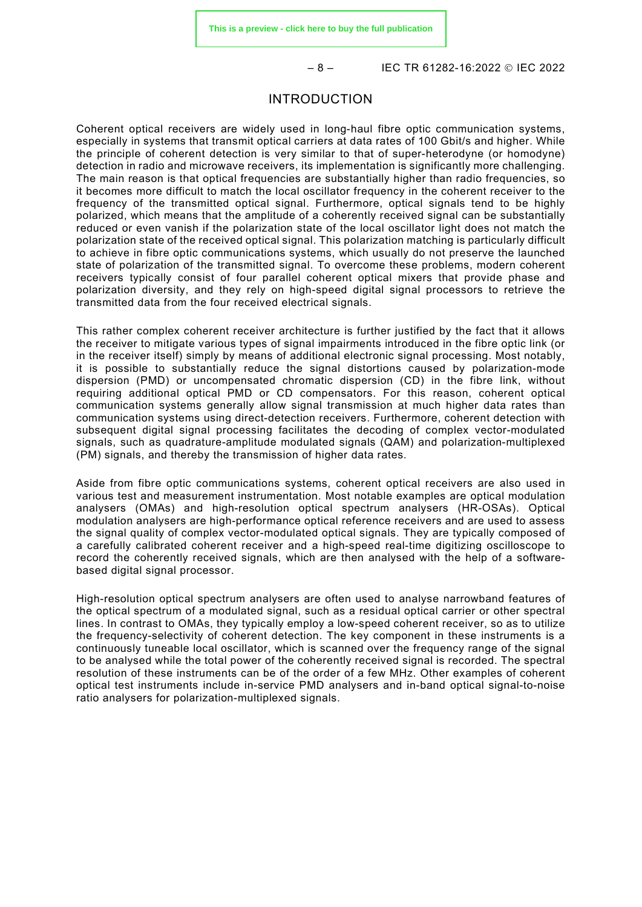$-8 -$  IEC TR 61282-16:2022 © IEC 2022

#### INTRODUCTION

<span id="page-7-0"></span>Coherent optical receivers are widely used in long-haul fibre optic communication systems, especially in systems that transmit optical carriers at data rates of 100 Gbit/s and higher. While the principle of coherent detection is very similar to that of super-heterodyne (or homodyne) detection in radio and microwave receivers, its implementation is significantly more challenging. The main reason is that optical frequencies are substantially higher than radio frequencies, so it becomes more difficult to match the local oscillator frequency in the coherent receiver to the frequency of the transmitted optical signal. Furthermore, optical signals tend to be highly polarized, which means that the amplitude of a coherently received signal can be substantially reduced or even vanish if the polarization state of the local oscillator light does not match the polarization state of the received optical signal. This polarization matching is particularly difficult to achieve in fibre optic communications systems, which usually do not preserve the launched state of polarization of the transmitted signal. To overcome these problems, modern coherent receivers typically consist of four parallel coherent optical mixers that provide phase and polarization diversity, and they rely on high-speed digital signal processors to retrieve the transmitted data from the four received electrical signals.

This rather complex coherent receiver architecture is further justified by the fact that it allows the receiver to mitigate various types of signal impairments introduced in the fibre optic link (or in the receiver itself) simply by means of additional electronic signal processing. Most notably, it is possible to substantially reduce the signal distortions caused by polarization-mode dispersion (PMD) or uncompensated chromatic dispersion (CD) in the fibre link, without requiring additional optical PMD or CD compensators. For this reason, coherent optical communication systems generally allow signal transmission at much higher data rates than communication systems using direct-detection receivers. Furthermore, coherent detection with subsequent digital signal processing facilitates the decoding of complex vector-modulated signals, such as quadrature-amplitude modulated signals (QAM) and polarization-multiplexed (PM) signals, and thereby the transmission of higher data rates.

Aside from fibre optic communications systems, coherent optical receivers are also used in various test and measurement instrumentation. Most notable examples are optical modulation analysers (OMAs) and high-resolution optical spectrum analysers (HR-OSAs). Optical modulation analysers are high-performance optical reference receivers and are used to assess the signal quality of complex vector-modulated optical signals. They are typically composed of a carefully calibrated coherent receiver and a high-speed real-time digitizing oscilloscope to record the coherently received signals, which are then analysed with the help of a softwarebased digital signal processor.

High-resolution optical spectrum analysers are often used to analyse narrowband features of the optical spectrum of a modulated signal, such as a residual optical carrier or other spectral lines. In contrast to OMAs, they typically employ a low-speed coherent receiver, so as to utilize the frequency-selectivity of coherent detection. The key component in these instruments is a continuously tuneable local oscillator, which is scanned over the frequency range of the signal to be analysed while the total power of the coherently received signal is recorded. The spectral resolution of these instruments can be of the order of a few MHz. Other examples of coherent optical test instruments include in-service PMD analysers and in-band optical signal-to-noise ratio analysers for polarization-multiplexed signals.